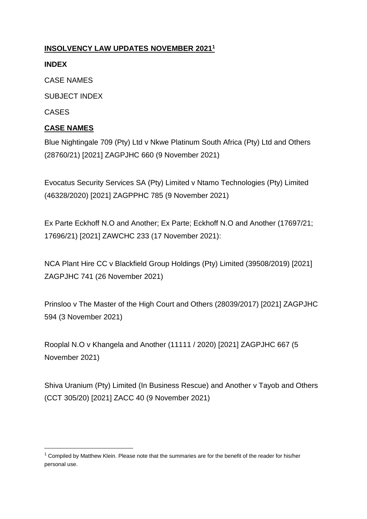### **INSOLVENCY LAW UPDATES NOVEMBER 2021<sup>1</sup>**

#### **INDEX**

CASE NAMES

SUBJECT INDEX

CASES

**.** 

### **CASE NAMES**

[Blue Nightingale 709 \(Pty\) Ltd v Nkwe Platinum South Africa \(Pty\) Ltd and Others](http://www.saflii.org/za/cases/ZAGPJHC/2021/660.html)  (28760/21) [2021] [ZAGPJHC 660 \(9 November 2021\)](http://www.saflii.org/za/cases/ZAGPJHC/2021/660.html)

[Evocatus Security Services SA \(Pty\) Limited v Ntamo Technologies \(Pty\) Limited](http://www.saflii.org/za/cases/ZAGPPHC/2021/785.html)  [\(46328/2020\) \[2021\] ZAGPPHC 785 \(9 November 2021\)](http://www.saflii.org/za/cases/ZAGPPHC/2021/785.html)

[Ex Parte Eckhoff N.O and Another; Ex Parte; Eckhoff N.O and Another \(17697/21;](http://www.saflii.org/za/cases/ZAWCHC/2021/233.html)  [17696/21\) \[2021\] ZAWCHC 233 \(17 November 2021\):](http://www.saflii.org/za/cases/ZAWCHC/2021/233.html)

[NCA Plant Hire CC v Blackfield Group Holdings \(Pty\) Limited \(39508/2019\) \[2021\]](http://www.saflii.org/za/cases/ZAGPJHC/2021/741.html)  [ZAGPJHC 741 \(26 November 2021\)](http://www.saflii.org/za/cases/ZAGPJHC/2021/741.html)

[Prinsloo v The Master of the High Court and Others \(28039/2017\) \[2021\] ZAGPJHC](http://www.saflii.org/za/cases/ZAGPJHC/2021/594.html)  [594 \(3 November 2021\)](http://www.saflii.org/za/cases/ZAGPJHC/2021/594.html)

[Rooplal N.O v Khangela and Another \(11111 / 2020\) \[2021\] ZAGPJHC 667 \(5](http://www.saflii.org/za/cases/ZAGPJHC/2021/667.html)  [November 2021\)](http://www.saflii.org/za/cases/ZAGPJHC/2021/667.html)

[Shiva Uranium \(Pty\) Limited \(In Business Rescue\) and Another v Tayob and Others](http://www.saflii.org/za/cases/ZACC/2021/40.html)  [\(CCT 305/20\) \[2021\] ZACC 40 \(9 November 2021\)](http://www.saflii.org/za/cases/ZACC/2021/40.html)

 $1$  Compiled by Matthew Klein. Please note that the summaries are for the benefit of the reader for his/her personal use.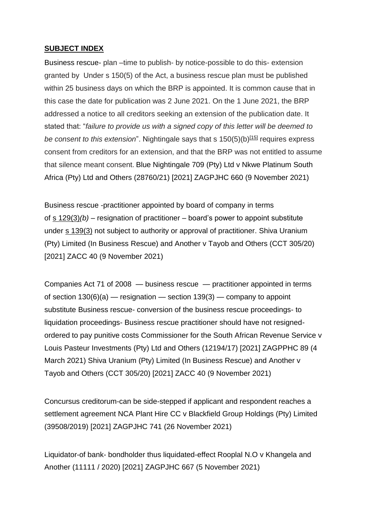#### **SUBJECT INDEX**

Business rescue- plan –time to publish- by notice-possible to do this- extension granted by Under s 150(5) of the Act, a business rescue plan must be published within 25 business days on which the BRP is appointed. It is common cause that in this case the date for publication was 2 June 2021. On the 1 June 2021, the BRP addressed a notice to all creditors seeking an extension of the publication date. It stated that: "*failure to provide us with a signed copy of this letter will be deemed to be consent to this extension*". Nightingale says that s 150(5)(b)<sup>[\[15\]](http://www.saflii.org/za/cases/ZAGPJHC/2021/660.html#_ftn15)</sup> requires express consent from creditors for an extension, and that the BRP was not entitled to assume that silence meant consent. [Blue Nightingale 709 \(Pty\) Ltd v Nkwe Platinum South](http://www.saflii.org/za/cases/ZAGPJHC/2021/660.html)  [Africa \(Pty\) Ltd and Others \(28760/21\) \[2021\] ZAGPJHC 660 \(9 November 2021\)](http://www.saflii.org/za/cases/ZAGPJHC/2021/660.html)

Business rescue -practitioner appointed by board of company in terms of s [129\(3\)](http://www.saflii.org/za/legis/consol_act/ca2008107/index.html#s129)*(b)* – resignation of practitioner – board's power to appoint substitute under s [139\(3\)](http://www.saflii.org/za/legis/consol_act/ca2008107/index.html#s139) not subject to authority or approval of practitioner. [Shiva Uranium](http://www.saflii.org/za/cases/ZACC/2021/40.html)  [\(Pty\) Limited \(In Business Rescue\) and Another v Tayob and Others \(CCT 305/20\)](http://www.saflii.org/za/cases/ZACC/2021/40.html)  [\[2021\] ZACC 40 \(9 November 2021\)](http://www.saflii.org/za/cases/ZACC/2021/40.html)

[Companies Act 71 of 2008](http://www.saflii.org/za/legis/consol_act/ca2008107/) — business rescue — practitioner appointed in terms of [section](http://www.saflii.org/za/legis/consol_act/ca2008107/index.html#s139)  $130(6)(a)$  — resignation — section  $139(3)$  — company to appoint substitute Business rescue- conversion of the business rescue proceedings- to liquidation proceedings- Business rescue practitioner should have not resignedordered to pay punitive costs [Commissioner for the South African Revenue Service v](http://www.saflii.org/za/cases/ZAGPPHC/2021/89.html)  [Louis Pasteur Investments \(Pty\) Ltd and Others \(12194/17\) \[2021\] ZAGPPHC 89 \(4](http://www.saflii.org/za/cases/ZAGPPHC/2021/89.html)  [March 2021\)](http://www.saflii.org/za/cases/ZAGPPHC/2021/89.html) [Shiva Uranium \(Pty\) Limited \(In Business Rescue\) and Another v](http://www.saflii.org/za/cases/ZACC/2021/40.html)  [Tayob and Others \(CCT 305/20\) \[2021\] ZACC 40 \(9 November 2021\)](http://www.saflii.org/za/cases/ZACC/2021/40.html)

Concursus creditorum-can be side-stepped if applicant and respondent reaches a settlement agreement [NCA Plant Hire CC v Blackfield Group Holdings \(Pty\) Limited](http://www.saflii.org/za/cases/ZAGPJHC/2021/741.html)  [\(39508/2019\) \[2021\] ZAGPJHC 741 \(26 November 2021\)](http://www.saflii.org/za/cases/ZAGPJHC/2021/741.html)

Liquidator-of bank- bondholder thus liquidated-effect [Rooplal N.O v Khangela and](http://www.saflii.org/za/cases/ZAGPJHC/2021/667.html)  Another (11111 / 2020) [2021] [ZAGPJHC 667 \(5 November 2021\)](http://www.saflii.org/za/cases/ZAGPJHC/2021/667.html)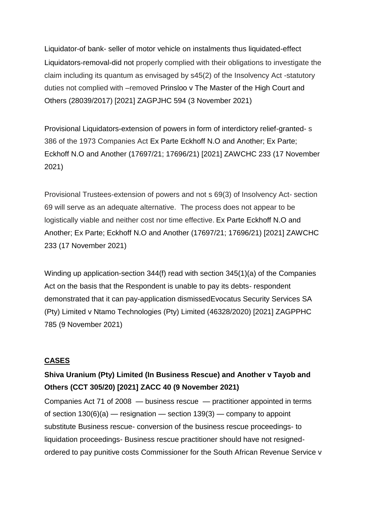Liquidator-of bank- seller of motor vehicle on instalments thus liquidated-effect Liquidators-removal-did not properly complied with their obligations to investigate the claim including its quantum as envisaged by s45(2) of the Insolvency Act -statutory duties not complied with –removed [Prinsloo v The Master of the High Court and](http://www.saflii.org/za/cases/ZAGPJHC/2021/594.html)  [Others \(28039/2017\) \[2021\] ZAGPJHC 594 \(3 November 2021\)](http://www.saflii.org/za/cases/ZAGPJHC/2021/594.html)

Provisional Liquidators-extension of powers in form of interdictory relief-granted- s 386 of the 1973 Companies Act [Ex Parte Eckhoff N.O and Another; Ex Parte;](http://www.saflii.org/za/cases/ZAWCHC/2021/233.html)  [Eckhoff N.O and Another \(17697/21; 17696/21\) \[2021\] ZAWCHC 233 \(17 November](http://www.saflii.org/za/cases/ZAWCHC/2021/233.html)  [2021\)](http://www.saflii.org/za/cases/ZAWCHC/2021/233.html)

Provisional Trustees-extension of powers and not s 69(3) of Insolvency Act- section 69 will serve as an adequate alternative. The process does not appear to be logistically viable and neither cost nor time effective. [Ex Parte Eckhoff N.O and](http://www.saflii.org/za/cases/ZAWCHC/2021/233.html)  [Another; Ex Parte; Eckhoff N.O and Another \(17697/21; 17696/21\) \[2021\] ZAWCHC](http://www.saflii.org/za/cases/ZAWCHC/2021/233.html)  [233 \(17 November 2021\)](http://www.saflii.org/za/cases/ZAWCHC/2021/233.html)

Winding up application-section 344(f) read with section 345(1)(a) of the Companies Act on the basis that the Respondent is unable to pay its debts- respondent demonstrated that it can pay-application dismisse[dEvocatus Security Services SA](http://www.saflii.org/za/cases/ZAGPPHC/2021/785.html)  [\(Pty\) Limited v Ntamo Technologies \(Pty\) Limited \(46328/2020\) \[2021\] ZAGPPHC](http://www.saflii.org/za/cases/ZAGPPHC/2021/785.html)  [785 \(9 November 2021\)](http://www.saflii.org/za/cases/ZAGPPHC/2021/785.html)

#### **CASES**

### **[Shiva Uranium \(Pty\) Limited \(In Business Rescue\) and Another v Tayob and](http://www.saflii.org/za/cases/ZACC/2021/40.html)  [Others \(CCT 305/20\) \[2021\] ZACC 40 \(9 November 2021\)](http://www.saflii.org/za/cases/ZACC/2021/40.html)**

[Companies Act 71 of 2008](http://www.saflii.org/za/legis/consol_act/ca2008107/) — business rescue — practitioner appointed in terms of [section](http://www.saflii.org/za/legis/consol_act/ca2008107/index.html#s139)  $130(6)(a)$  — resignation — section  $139(3)$  — company to appoint substitute Business rescue- conversion of the business rescue proceedings- to liquidation proceedings- Business rescue practitioner should have not resignedordered to pay punitive costs [Commissioner for the South African Revenue Service v](http://www.saflii.org/za/cases/ZAGPPHC/2021/89.html)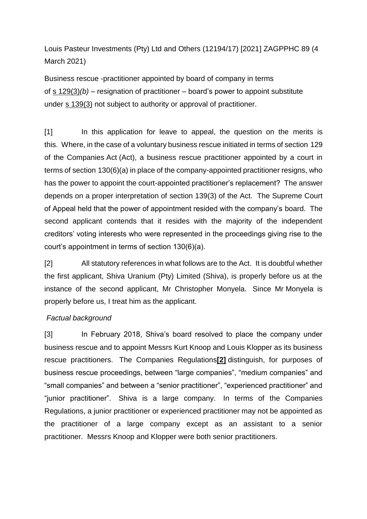[Louis Pasteur Investments \(Pty\) Ltd and Others \(12194/17\) \[2021\] ZAGPPHC 89 \(4](http://www.saflii.org/za/cases/ZAGPPHC/2021/89.html)  [March 2021\)](http://www.saflii.org/za/cases/ZAGPPHC/2021/89.html)

Business rescue -practitioner appointed by board of company in terms of s [129\(3\)](http://www.saflii.org/za/legis/consol_act/ca2008107/index.html#s129)*(b)* – resignation of practitioner – board's power to appoint substitute under s [139\(3\)](http://www.saflii.org/za/legis/consol_act/ca2008107/index.html#s139) not subject to authority or approval of practitioner.

[1] In this application for leave to appeal, the question on the merits is this. Where, in the case of a voluntary business rescue initiated in terms of section 129 of the Companies Act (Act), a business rescue practitioner appointed by a court in terms of section 130(6)(a) in place of the company-appointed practitioner resigns, who has the power to appoint the court-appointed practitioner's replacement? The answer depends on a proper interpretation of section 139(3) of the Act. The Supreme Court of Appeal held that the power of appointment resided with the company's board. The second applicant contends that it resides with the majority of the independent creditors' voting interests who were represented in the proceedings giving rise to the court's appointment in terms of section 130(6)(a).

[2] All statutory references in what follows are to the Act. It is doubtful whether the first applicant, Shiva Uranium (Pty) Limited (Shiva), is properly before us at the instance of the second applicant, Mr Christopher Monyela. Since Mr Monyela is properly before us, I treat him as the applicant.

### *Factual background*

[3] In February 2018, Shiva's board resolved to place the company under business rescue and to appoint Messrs Kurt Knoop and Louis Klopper as its business rescue practitioners. The Companies Regulations**[\[2\]](http://www.saflii.org/za/cases/ZACC/2021/40.html#_ftn2)** distinguish, for purposes of business rescue proceedings, between "large companies", "medium companies" and "small companies" and between a "senior practitioner", "experienced practitioner" and "junior practitioner". Shiva is a large company. In terms of the Companies Regulations, a junior practitioner or experienced practitioner may not be appointed as the practitioner of a large company except as an assistant to a senior practitioner. Messrs Knoop and Klopper were both senior practitioners.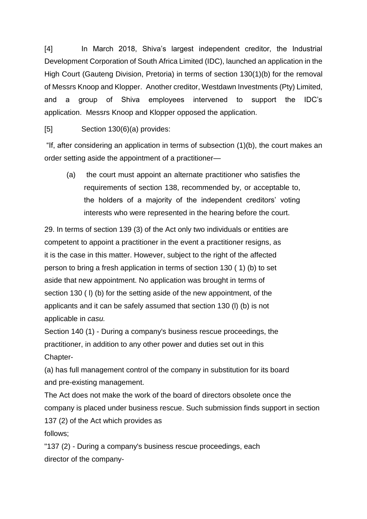[4] In March 2018, Shiva's largest independent creditor, the Industrial Development Corporation of South Africa Limited (IDC), launched an application in the High Court (Gauteng Division, Pretoria) in terms of section 130(1)(b) for the removal of Messrs Knoop and Klopper. Another creditor, Westdawn Investments (Pty) Limited, and a group of Shiva employees intervened to support the IDC's application. Messrs Knoop and Klopper opposed the application.

[5] Section 130(6)(a) provides:

"If, after considering an application in terms of subsection (1)(b), the court makes an order setting aside the appointment of a practitioner—

(a) the court must appoint an alternate practitioner who satisfies the requirements of section 138, recommended by, or acceptable to, the holders of a majority of the independent creditors' voting interests who were represented in the hearing before the court.

29. In terms of section 139 (3) of the Act only two individuals or entities are competent to appoint a practitioner in the event a practitioner resigns, as it is the case in this matter. However, subject to the right of the affected person to bring a fresh application in terms of section 130 ( 1) (b) to set aside that new appointment. No application was brought in terms of section 130 ( I) (b) for the setting aside of the new appointment, of the applicants and it can be safely assumed that section 130 (l) (b) is not applicable in *casu.*

Section 140 (1) - During a company's business rescue proceedings, the practitioner, in addition to any other power and duties set out in this Chapter-

(a) has full management control of the company in substitution for its board and pre-existing management.

The Act does not make the work of the board of directors obsolete once the company is placed under business rescue. Such submission finds support in section 137 (2) of the Act which provides as follows;

"137 (2) - During a company's business rescue proceedings, each director of the company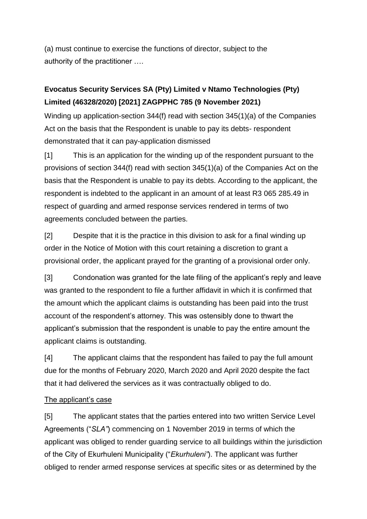(a) must continue to exercise the functions of director, subject to the authority of the practitioner ….

# **[Evocatus Security Services SA \(Pty\) Limited v Ntamo Technologies \(Pty\)](http://www.saflii.org/za/cases/ZAGPPHC/2021/785.html)  [Limited \(46328/2020\) \[2021\] ZAGPPHC 785 \(9](http://www.saflii.org/za/cases/ZAGPPHC/2021/785.html) November 2021)**

Winding up application-section 344(f) read with section 345(1)(a) of the Companies Act on the basis that the Respondent is unable to pay its debts- respondent demonstrated that it can pay-application dismissed

[1] This is an application for the winding up of the respondent pursuant to the provisions of section 344(f) read with section 345(1)(a) of the Companies Act on the basis that the Respondent is unable to pay its debts. According to the applicant, the respondent is indebted to the applicant in an amount of at least R3 065 285.49 in respect of guarding and armed response services rendered in terms of two agreements concluded between the parties.

[2] Despite that it is the practice in this division to ask for a final winding up order in the Notice of Motion with this court retaining a discretion to grant a provisional order, the applicant prayed for the granting of a provisional order only.

[3] Condonation was granted for the late filing of the applicant's reply and leave was granted to the respondent to file a further affidavit in which it is confirmed that the amount which the applicant claims is outstanding has been paid into the trust account of the respondent's attorney. This was ostensibly done to thwart the applicant's submission that the respondent is unable to pay the entire amount the applicant claims is outstanding.

[4] The applicant claims that the respondent has failed to pay the full amount due for the months of February 2020, March 2020 and April 2020 despite the fact that it had delivered the services as it was contractually obliged to do.

### The applicant's case

[5] The applicant states that the parties entered into two written Service Level Agreements ("*SLA"*) commencing on 1 November 2019 in terms of which the applicant was obliged to render guarding service to all buildings within the jurisdiction of the City of Ekurhuleni Municipality ("*Ekurhuleni"*). The applicant was further obliged to render armed response services at specific sites or as determined by the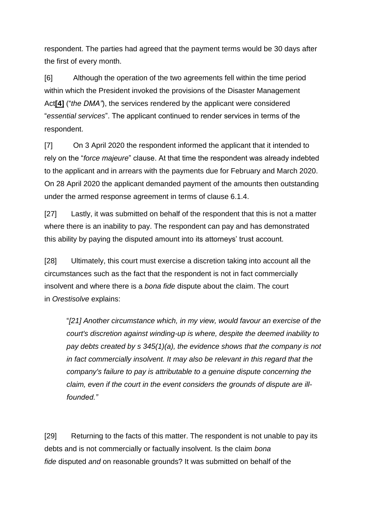respondent. The parties had agreed that the payment terms would be 30 days after the first of every month.

[6] Although the operation of the two agreements fell within the time period within which the President invoked the provisions of the Disaster Management Act**[\[4\]](http://www.saflii.org/za/cases/ZAGPPHC/2021/785.html#_ftn4)** ("*the DMA"*), the services rendered by the applicant were considered "*essential services*". The applicant continued to render services in terms of the respondent.

[7] On 3 April 2020 the respondent informed the applicant that it intended to rely on the "*force majeure*" clause. At that time the respondent was already indebted to the applicant and in arrears with the payments due for February and March 2020. On 28 April 2020 the applicant demanded payment of the amounts then outstanding under the armed response agreement in terms of clause 6.1.4.

[27] Lastly, it was submitted on behalf of the respondent that this is not a matter where there is an inability to pay. The respondent can pay and has demonstrated this ability by paying the disputed amount into its attorneys' trust account.

[28] Ultimately, this court must exercise a discretion taking into account all the circumstances such as the fact that the respondent is not in fact commercially insolvent and where there is a *bona fide* dispute about the claim. The court in *Orestisolve* explains:

"*[21] Another circumstance which, in my view, would favour an exercise of the court's discretion against winding-up is where, despite the deemed inability to pay debts created by s 345(1)(a), the evidence shows that the company is not in fact commercially insolvent. It may also be relevant in this regard that the company's failure to pay is attributable to a genuine dispute concerning the claim, even if the court in the event considers the grounds of dispute are illfounded."*

[29] Returning to the facts of this matter. The respondent is not unable to pay its debts and is not commercially or factually insolvent. Is the claim *bona fide* disputed *and* on reasonable grounds? It was submitted on behalf of the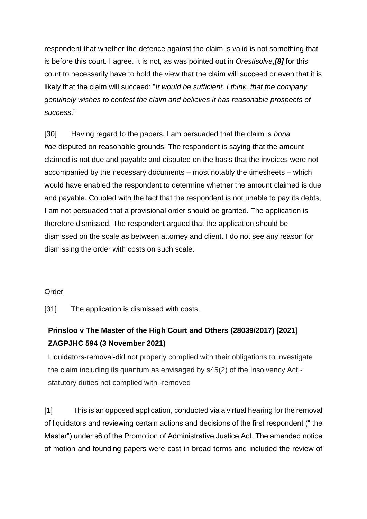respondent that whether the defence against the claim is valid is not something that is before this court. I agree. It is not, as was pointed out in *Orestisolve*,*[\[8\]](http://www.saflii.org/za/cases/ZAGPPHC/2021/785.html#_ftn8)* for this court to necessarily have to hold the view that the claim will succeed or even that it is likely that the claim will succeed: "*It would be sufficient, I think, that the company genuinely wishes to contest the claim and believes it has reasonable prospects of success*."

[30] Having regard to the papers, I am persuaded that the claim is *bona fide* disputed on reasonable grounds: The respondent is saying that the amount claimed is not due and payable and disputed on the basis that the invoices were not accompanied by the necessary documents – most notably the timesheets – which would have enabled the respondent to determine whether the amount claimed is due and payable. Coupled with the fact that the respondent is not unable to pay its debts, I am not persuaded that a provisional order should be granted. The application is therefore dismissed. The respondent argued that the application should be dismissed on the scale as between attorney and client. I do not see any reason for dismissing the order with costs on such scale.

### Order

[31] The application is dismissed with costs.

### **[Prinsloo v The Master of the High Court and Others \(28039/2017\) \[2021\]](http://www.saflii.org/za/cases/ZAGPJHC/2021/594.html)  [ZAGPJHC 594 \(3 November 2021\)](http://www.saflii.org/za/cases/ZAGPJHC/2021/594.html)**

Liquidators-removal-did not properly complied with their obligations to investigate the claim including its quantum as envisaged by s45(2) of the Insolvency Act statutory duties not complied with -removed

[1] This is an opposed application, conducted via a virtual hearing for the removal of liquidators and reviewing certain actions and decisions of the first respondent (" the Master") under s6 of the Promotion of Administrative Justice Act. The amended notice of motion and founding papers were cast in broad terms and included the review of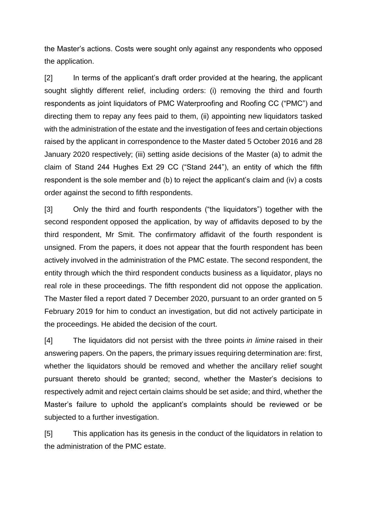the Master's actions. Costs were sought only against any respondents who opposed the application.

[2] In terms of the applicant's draft order provided at the hearing, the applicant sought slightly different relief, including orders: (i) removing the third and fourth respondents as joint liquidators of PMC Waterproofing and Roofing CC ("PMC") and directing them to repay any fees paid to them, (ii) appointing new liquidators tasked with the administration of the estate and the investigation of fees and certain objections raised by the applicant in correspondence to the Master dated 5 October 2016 and 28 January 2020 respectively; (iii) setting aside decisions of the Master (a) to admit the claim of Stand 244 Hughes Ext 29 CC ("Stand 244"), an entity of which the fifth respondent is the sole member and (b) to reject the applicant's claim and (iv) a costs order against the second to fifth respondents.

[3] Only the third and fourth respondents ("the liquidators") together with the second respondent opposed the application, by way of affidavits deposed to by the third respondent, Mr Smit. The confirmatory affidavit of the fourth respondent is unsigned. From the papers, it does not appear that the fourth respondent has been actively involved in the administration of the PMC estate. The second respondent, the entity through which the third respondent conducts business as a liquidator, plays no real role in these proceedings. The fifth respondent did not oppose the application. The Master filed a report dated 7 December 2020, pursuant to an order granted on 5 February 2019 for him to conduct an investigation, but did not actively participate in the proceedings. He abided the decision of the court.

[4] The liquidators did not persist with the three points *in limine* raised in their answering papers. On the papers, the primary issues requiring determination are: first, whether the liquidators should be removed and whether the ancillary relief sought pursuant thereto should be granted; second, whether the Master's decisions to respectively admit and reject certain claims should be set aside; and third, whether the Master's failure to uphold the applicant's complaints should be reviewed or be subjected to a further investigation.

[5] This application has its genesis in the conduct of the liquidators in relation to the administration of the PMC estate.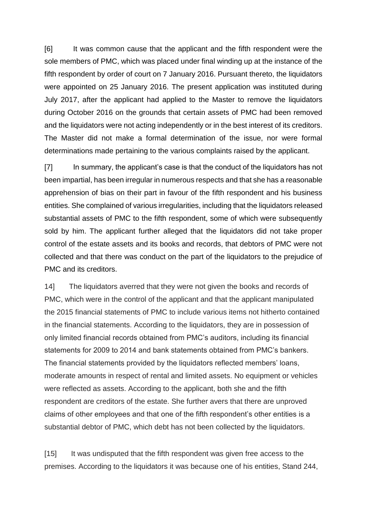[6] It was common cause that the applicant and the fifth respondent were the sole members of PMC, which was placed under final winding up at the instance of the fifth respondent by order of court on 7 January 2016. Pursuant thereto, the liquidators were appointed on 25 January 2016. The present application was instituted during July 2017, after the applicant had applied to the Master to remove the liquidators during October 2016 on the grounds that certain assets of PMC had been removed and the liquidators were not acting independently or in the best interest of its creditors. The Master did not make a formal determination of the issue, nor were formal determinations made pertaining to the various complaints raised by the applicant.

[7] In summary, the applicant's case is that the conduct of the liquidators has not been impartial, has been irregular in numerous respects and that she has a reasonable apprehension of bias on their part in favour of the fifth respondent and his business entities. She complained of various irregularities, including that the liquidators released substantial assets of PMC to the fifth respondent, some of which were subsequently sold by him. The applicant further alleged that the liquidators did not take proper control of the estate assets and its books and records, that debtors of PMC were not collected and that there was conduct on the part of the liquidators to the prejudice of PMC and its creditors.

14] The liquidators averred that they were not given the books and records of PMC, which were in the control of the applicant and that the applicant manipulated the 2015 financial statements of PMC to include various items not hitherto contained in the financial statements. According to the liquidators, they are in possession of only limited financial records obtained from PMC's auditors, including its financial statements for 2009 to 2014 and bank statements obtained from PMC's bankers. The financial statements provided by the liquidators reflected members' loans, moderate amounts in respect of rental and limited assets. No equipment or vehicles were reflected as assets. According to the applicant, both she and the fifth respondent are creditors of the estate. She further avers that there are unproved claims of other employees and that one of the fifth respondent's other entities is a substantial debtor of PMC, which debt has not been collected by the liquidators.

[15] It was undisputed that the fifth respondent was given free access to the premises. According to the liquidators it was because one of his entities, Stand 244,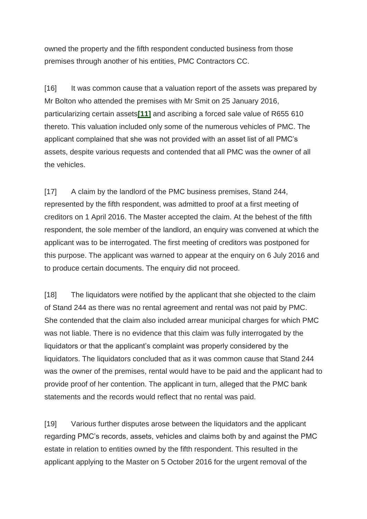owned the property and the fifth respondent conducted business from those premises through another of his entities, PMC Contractors CC.

[16] It was common cause that a valuation report of the assets was prepared by Mr Bolton who attended the premises with Mr Smit on 25 January 2016, particularizing certain assets**[\[11\]](http://www.saflii.org/za/cases/ZAGPJHC/2021/594.html#_ftn11)** and ascribing a forced sale value of R655 610 thereto. This valuation included only some of the numerous vehicles of PMC. The applicant complained that she was not provided with an asset list of all PMC's assets, despite various requests and contended that all PMC was the owner of all the vehicles.

[17] A claim by the landlord of the PMC business premises, Stand 244, represented by the fifth respondent, was admitted to proof at a first meeting of creditors on 1 April 2016. The Master accepted the claim. At the behest of the fifth respondent, the sole member of the landlord, an enquiry was convened at which the applicant was to be interrogated. The first meeting of creditors was postponed for this purpose. The applicant was warned to appear at the enquiry on 6 July 2016 and to produce certain documents. The enquiry did not proceed.

[18] The liquidators were notified by the applicant that she objected to the claim of Stand 244 as there was no rental agreement and rental was not paid by PMC. She contended that the claim also included arrear municipal charges for which PMC was not liable. There is no evidence that this claim was fully interrogated by the liquidators or that the applicant's complaint was properly considered by the liquidators. The liquidators concluded that as it was common cause that Stand 244 was the owner of the premises, rental would have to be paid and the applicant had to provide proof of her contention. The applicant in turn, alleged that the PMC bank statements and the records would reflect that no rental was paid.

[19] Various further disputes arose between the liquidators and the applicant regarding PMC's records, assets, vehicles and claims both by and against the PMC estate in relation to entities owned by the fifth respondent. This resulted in the applicant applying to the Master on 5 October 2016 for the urgent removal of the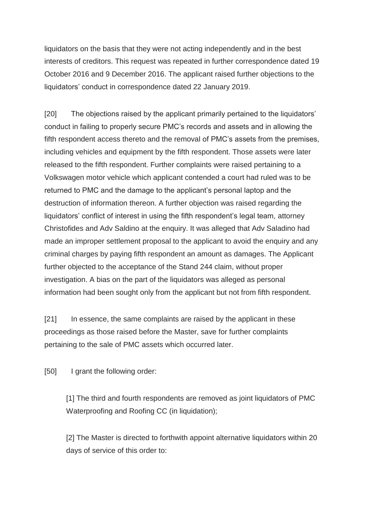liquidators on the basis that they were not acting independently and in the best interests of creditors. This request was repeated in further correspondence dated 19 October 2016 and 9 December 2016. The applicant raised further objections to the liquidators' conduct in correspondence dated 22 January 2019.

[20] The objections raised by the applicant primarily pertained to the liquidators' conduct in failing to properly secure PMC's records and assets and in allowing the fifth respondent access thereto and the removal of PMC's assets from the premises, including vehicles and equipment by the fifth respondent. Those assets were later released to the fifth respondent. Further complaints were raised pertaining to a Volkswagen motor vehicle which applicant contended a court had ruled was to be returned to PMC and the damage to the applicant's personal laptop and the destruction of information thereon. A further objection was raised regarding the liquidators' conflict of interest in using the fifth respondent's legal team, attorney Christofides and Adv Saldino at the enquiry. It was alleged that Adv Saladino had made an improper settlement proposal to the applicant to avoid the enquiry and any criminal charges by paying fifth respondent an amount as damages. The Applicant further objected to the acceptance of the Stand 244 claim, without proper investigation. A bias on the part of the liquidators was alleged as personal information had been sought only from the applicant but not from fifth respondent.

[21] In essence, the same complaints are raised by the applicant in these proceedings as those raised before the Master, save for further complaints pertaining to the sale of PMC assets which occurred later.

[50] I grant the following order:

[1] The third and fourth respondents are removed as joint liquidators of PMC Waterproofing and Roofing CC (in liquidation);

[2] The Master is directed to forthwith appoint alternative liquidators within 20 days of service of this order to: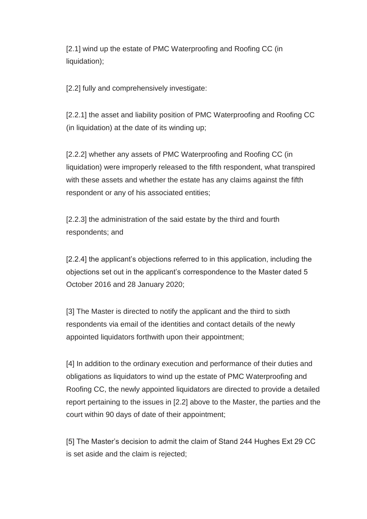[2.1] wind up the estate of PMC Waterproofing and Roofing CC (in liquidation);

[2.2] fully and comprehensively investigate:

[2.2.1] the asset and liability position of PMC Waterproofing and Roofing CC (in liquidation) at the date of its winding up;

[2.2.2] whether any assets of PMC Waterproofing and Roofing CC (in liquidation) were improperly released to the fifth respondent, what transpired with these assets and whether the estate has any claims against the fifth respondent or any of his associated entities;

[2.2.3] the administration of the said estate by the third and fourth respondents; and

[2.2.4] the applicant's objections referred to in this application, including the objections set out in the applicant's correspondence to the Master dated 5 October 2016 and 28 January 2020;

[3] The Master is directed to notify the applicant and the third to sixth respondents via email of the identities and contact details of the newly appointed liquidators forthwith upon their appointment;

[4] In addition to the ordinary execution and performance of their duties and obligations as liquidators to wind up the estate of PMC Waterproofing and Roofing CC, the newly appointed liquidators are directed to provide a detailed report pertaining to the issues in [2.2] above to the Master, the parties and the court within 90 days of date of their appointment;

[5] The Master's decision to admit the claim of Stand 244 Hughes Ext 29 CC is set aside and the claim is rejected;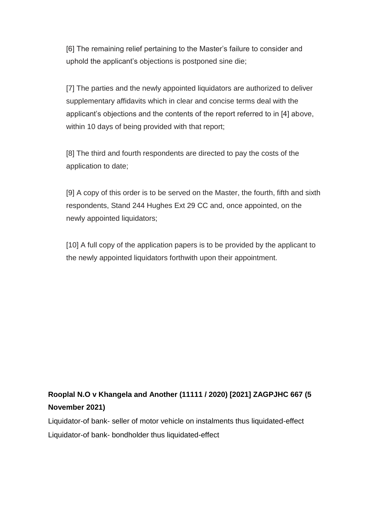[6] The remaining relief pertaining to the Master's failure to consider and uphold the applicant's objections is postponed sine die;

[7] The parties and the newly appointed liquidators are authorized to deliver supplementary affidavits which in clear and concise terms deal with the applicant's objections and the contents of the report referred to in [4] above, within 10 days of being provided with that report;

[8] The third and fourth respondents are directed to pay the costs of the application to date;

[9] A copy of this order is to be served on the Master, the fourth, fifth and sixth respondents, Stand 244 Hughes Ext 29 CC and, once appointed, on the newly appointed liquidators;

[10] A full copy of the application papers is to be provided by the applicant to the newly appointed liquidators forthwith upon their appointment.

# **[Rooplal N.O v Khangela and Another \(11111 / 2020\) \[2021\] ZAGPJHC 667 \(5](http://www.saflii.org/za/cases/ZAGPJHC/2021/667.html)  [November 2021\)](http://www.saflii.org/za/cases/ZAGPJHC/2021/667.html)**

Liquidator-of bank- seller of motor vehicle on instalments thus liquidated-effect Liquidator-of bank- bondholder thus liquidated-effect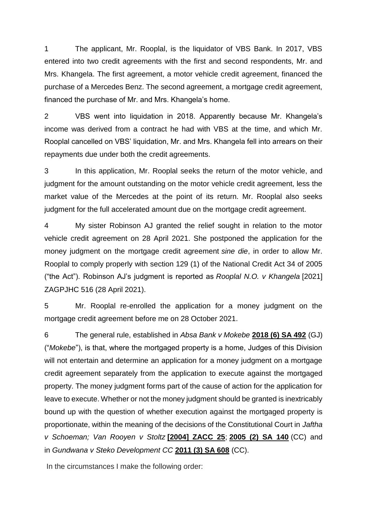1 The applicant, Mr. Rooplal, is the liquidator of VBS Bank. In 2017, VBS entered into two credit agreements with the first and second respondents, Mr. and Mrs. Khangela. The first agreement, a motor vehicle credit agreement, financed the purchase of a Mercedes Benz. The second agreement, a mortgage credit agreement, financed the purchase of Mr. and Mrs. Khangela's home.

2 VBS went into liquidation in 2018. Apparently because Mr. Khangela's income was derived from a contract he had with VBS at the time, and which Mr. Rooplal cancelled on VBS' liquidation, Mr. and Mrs. Khangela fell into arrears on their repayments due under both the credit agreements.

3 In this application, Mr. Rooplal seeks the return of the motor vehicle, and judgment for the amount outstanding on the motor vehicle credit agreement, less the market value of the Mercedes at the point of its return. Mr. Rooplal also seeks judgment for the full accelerated amount due on the mortgage credit agreement.

4 My sister Robinson AJ granted the relief sought in relation to the motor vehicle credit agreement on 28 April 2021. She postponed the application for the money judgment on the mortgage credit agreement *sine die*, in order to allow Mr. Rooplal to comply properly with section 129 (1) of the National Credit Act 34 of 2005 ("the Act"). Robinson AJ's judgment is reported as *Rooplal N.O. v Khangela* [2021] ZAGPJHC 516 (28 April 2021).

5 Mr. Rooplal re-enrolled the application for a money judgment on the mortgage credit agreement before me on 28 October 2021.

6 The general rule, established in *Absa Bank v Mokebe* **[2018 \(6\) SA 492](http://www.saflii.org/cgi-bin/LawCite?cit=2018%20%286%29%20SA%20492)** (GJ) ("*Mokebe*"), is that, where the mortgaged property is a home, Judges of this Division will not entertain and determine an application for a money judgment on a mortgage credit agreement separately from the application to execute against the mortgaged property. The money judgment forms part of the cause of action for the application for leave to execute. Whether or not the money judgment should be granted is inextricably bound up with the question of whether execution against the mortgaged property is proportionate, within the meaning of the decisions of the Constitutional Court in *Jaftha v Schoeman; Van Rooyen v Stoltz* **[\[2004\] ZACC 25](http://www.saflii.org/za/cases/ZACC/2004/25.html)**; **[2005 \(2\) SA 140](http://www.saflii.org/cgi-bin/LawCite?cit=2005%20%282%29%20SA%20140)** (CC) and in *Gundwana v Steko Development CC* **[2011 \(3\) SA 608](http://www.saflii.org/cgi-bin/LawCite?cit=2011%20%283%29%20SA%20608)** (CC).

In the circumstances I make the following order: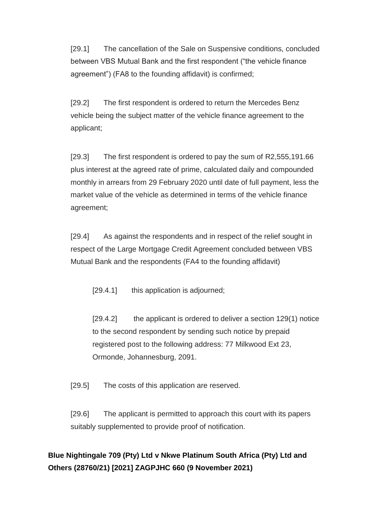[29.1] The cancellation of the Sale on Suspensive conditions, concluded between VBS Mutual Bank and the first respondent ("the vehicle finance agreement") (FA8 to the founding affidavit) is confirmed;

[29.2] The first respondent is ordered to return the Mercedes Benz vehicle being the subject matter of the vehicle finance agreement to the applicant;

[29.3] The first respondent is ordered to pay the sum of R2,555,191.66 plus interest at the agreed rate of prime, calculated daily and compounded monthly in arrears from 29 February 2020 until date of full payment, less the market value of the vehicle as determined in terms of the vehicle finance agreement;

[29.4] As against the respondents and in respect of the relief sought in respect of the Large Mortgage Credit Agreement concluded between VBS Mutual Bank and the respondents (FA4 to the founding affidavit)

[29.4.1] this application is adjourned;

[29.4.2] the applicant is ordered to deliver a section 129(1) notice to the second respondent by sending such notice by prepaid registered post to the following address: 77 Milkwood Ext 23, Ormonde, Johannesburg, 2091.

[29.5] The costs of this application are reserved.

[29.6] The applicant is permitted to approach this court with its papers suitably supplemented to provide proof of notification.

## **[Blue Nightingale 709 \(Pty\) Ltd v Nkwe Platinum South Africa \(Pty\) Ltd and](http://www.saflii.org/za/cases/ZAGPJHC/2021/660.html)  [Others \(28760/21\) \[2021\] ZAGPJHC 660 \(9 November 2021\)](http://www.saflii.org/za/cases/ZAGPJHC/2021/660.html)**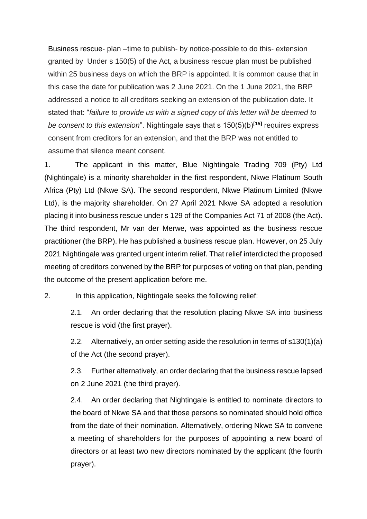Business rescue- plan –time to publish- by notice-possible to do this- extension granted by Under s 150(5) of the Act, a business rescue plan must be published within 25 business days on which the BRP is appointed. It is common cause that in this case the date for publication was 2 June 2021. On the 1 June 2021, the BRP addressed a notice to all creditors seeking an extension of the publication date. It stated that: "*failure to provide us with a signed copy of this letter will be deemed to be consent to this extension*". Nightingale says that s 150(5)(b)**[\[15\]](http://www.saflii.org/za/cases/ZAGPJHC/2021/660.html#_ftn15)** requires express consent from creditors for an extension, and that the BRP was not entitled to assume that silence meant consent.

1. The applicant in this matter, Blue Nightingale Trading 709 (Pty) Ltd (Nightingale) is a minority shareholder in the first respondent, Nkwe Platinum South Africa (Pty) Ltd (Nkwe SA). The second respondent, Nkwe Platinum Limited (Nkwe Ltd), is the majority shareholder. On 27 April 2021 Nkwe SA adopted a resolution placing it into business rescue under s 129 of the Companies Act 71 of 2008 (the Act). The third respondent, Mr van der Merwe, was appointed as the business rescue practitioner (the BRP). He has published a business rescue plan. However, on 25 July 2021 Nightingale was granted urgent interim relief. That relief interdicted the proposed meeting of creditors convened by the BRP for purposes of voting on that plan, pending the outcome of the present application before me.

2. In this application, Nightingale seeks the following relief:

2.1. An order declaring that the resolution placing Nkwe SA into business rescue is void (the first prayer).

2.2. Alternatively, an order setting aside the resolution in terms of s130(1)(a) of the Act (the second prayer).

2.3. Further alternatively, an order declaring that the business rescue lapsed on 2 June 2021 (the third prayer).

2.4. An order declaring that Nightingale is entitled to nominate directors to the board of Nkwe SA and that those persons so nominated should hold office from the date of their nomination. Alternatively, ordering Nkwe SA to convene a meeting of shareholders for the purposes of appointing a new board of directors or at least two new directors nominated by the applicant (the fourth prayer).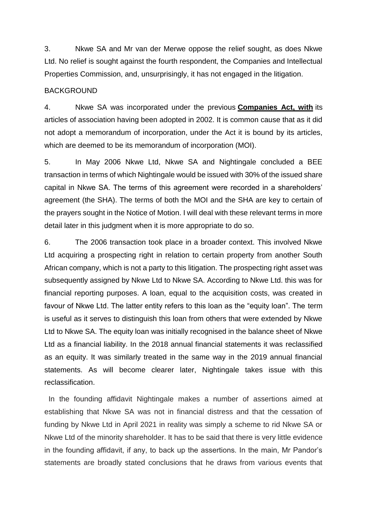3. Nkwe SA and Mr van der Merwe oppose the relief sought, as does Nkwe Ltd. No relief is sought against the fourth respondent, the Companies and Intellectual Properties Commission, and, unsurprisingly, it has not engaged in the litigation.

#### BACKGROUND

4. Nkwe SA was incorporated under the previous **[Companies Act, with](http://www.saflii.org/za/legis/consol_act/ca2008107/)** its articles of association having been adopted in 2002. It is common cause that as it did not adopt a memorandum of incorporation, under the Act it is bound by its articles, which are deemed to be its memorandum of incorporation (MOI).

5. In May 2006 Nkwe Ltd, Nkwe SA and Nightingale concluded a BEE transaction in terms of which Nightingale would be issued with 30% of the issued share capital in Nkwe SA. The terms of this agreement were recorded in a shareholders' agreement (the SHA). The terms of both the MOI and the SHA are key to certain of the prayers sought in the Notice of Motion. I will deal with these relevant terms in more detail later in this judgment when it is more appropriate to do so.

6. The 2006 transaction took place in a broader context. This involved Nkwe Ltd acquiring a prospecting right in relation to certain property from another South African company, which is not a party to this litigation. The prospecting right asset was subsequently assigned by Nkwe Ltd to Nkwe SA. According to Nkwe Ltd. this was for financial reporting purposes. A loan, equal to the acquisition costs, was created in favour of Nkwe Ltd. The latter entity refers to this loan as the "equity loan". The term is useful as it serves to distinguish this loan from others that were extended by Nkwe Ltd to Nkwe SA. The equity loan was initially recognised in the balance sheet of Nkwe Ltd as a financial liability. In the 2018 annual financial statements it was reclassified as an equity. It was similarly treated in the same way in the 2019 annual financial statements. As will become clearer later, Nightingale takes issue with this reclassification.

 In the founding affidavit Nightingale makes a number of assertions aimed at establishing that Nkwe SA was not in financial distress and that the cessation of funding by Nkwe Ltd in April 2021 in reality was simply a scheme to rid Nkwe SA or Nkwe Ltd of the minority shareholder. It has to be said that there is very little evidence in the founding affidavit, if any, to back up the assertions. In the main, Mr Pandor's statements are broadly stated conclusions that he draws from various events that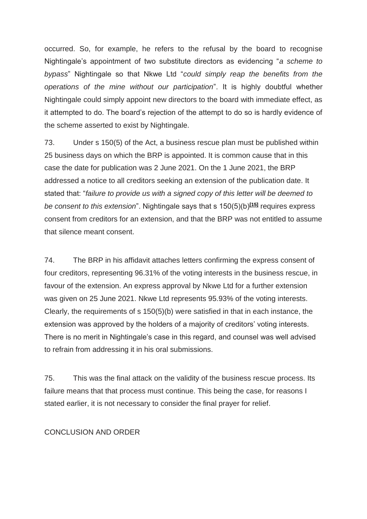occurred. So, for example, he refers to the refusal by the board to recognise Nightingale's appointment of two substitute directors as evidencing "*a scheme to bypass*" Nightingale so that Nkwe Ltd "*could simply reap the benefits from the operations of the mine without our participation*". It is highly doubtful whether Nightingale could simply appoint new directors to the board with immediate effect, as it attempted to do. The board's rejection of the attempt to do so is hardly evidence of the scheme asserted to exist by Nightingale.

73. Under s 150(5) of the Act, a business rescue plan must be published within 25 business days on which the BRP is appointed. It is common cause that in this case the date for publication was 2 June 2021. On the 1 June 2021, the BRP addressed a notice to all creditors seeking an extension of the publication date. It stated that: "*failure to provide us with a signed copy of this letter will be deemed to be consent to this extension*". Nightingale says that s 150(5)(b)**[\[15\]](http://www.saflii.org/za/cases/ZAGPJHC/2021/660.html#_ftn15)** requires express consent from creditors for an extension, and that the BRP was not entitled to assume that silence meant consent.

74. The BRP in his affidavit attaches letters confirming the express consent of four creditors, representing 96.31% of the voting interests in the business rescue, in favour of the extension. An express approval by Nkwe Ltd for a further extension was given on 25 June 2021. Nkwe Ltd represents 95.93% of the voting interests. Clearly, the requirements of s 150(5)(b) were satisfied in that in each instance, the extension was approved by the holders of a majority of creditors' voting interests. There is no merit in Nightingale's case in this regard, and counsel was well advised to refrain from addressing it in his oral submissions.

75. This was the final attack on the validity of the business rescue process. Its failure means that that process must continue. This being the case, for reasons I stated earlier, it is not necessary to consider the final prayer for relief.

#### CONCLUSION AND ORDER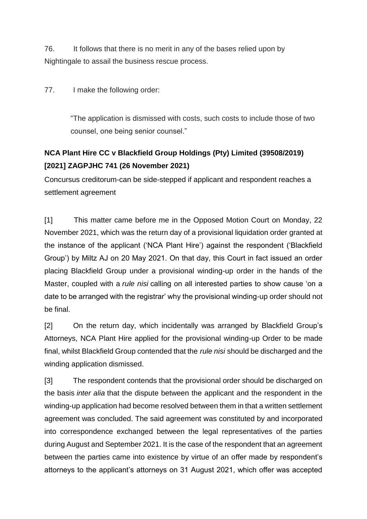76. It follows that there is no merit in any of the bases relied upon by Nightingale to assail the business rescue process.

77. I make the following order:

"The application is dismissed with costs, such costs to include those of two counsel, one being senior counsel."

# **[NCA Plant Hire CC v Blackfield Group Holdings \(Pty\) Limited \(39508/2019\)](http://www.saflii.org/za/cases/ZAGPJHC/2021/741.html)  [\[2021\] ZAGPJHC 741 \(26 November 2021\)](http://www.saflii.org/za/cases/ZAGPJHC/2021/741.html)**

Concursus creditorum-can be side-stepped if applicant and respondent reaches a settlement agreement

[1] This matter came before me in the Opposed Motion Court on Monday, 22 November 2021, which was the return day of a provisional liquidation order granted at the instance of the applicant ('NCA Plant Hire') against the respondent ('Blackfield Group') by Miltz AJ on 20 May 2021. On that day, this Court in fact issued an order placing Blackfield Group under a provisional winding-up order in the hands of the Master, coupled with a *rule nisi* calling on all interested parties to show cause 'on a date to be arranged with the registrar' why the provisional winding-up order should not be final.

[2] On the return day, which incidentally was arranged by Blackfield Group's Attorneys, NCA Plant Hire applied for the provisional winding-up Order to be made final, whilst Blackfield Group contended that the *rule nisi* should be discharged and the winding application dismissed.

[3] The respondent contends that the provisional order should be discharged on the basis *inter alia* that the dispute between the applicant and the respondent in the winding-up application had become resolved between them in that a written settlement agreement was concluded. The said agreement was constituted by and incorporated into correspondence exchanged between the legal representatives of the parties during August and September 2021. It is the case of the respondent that an agreement between the parties came into existence by virtue of an offer made by respondent's attorneys to the applicant's attorneys on 31 August 2021, which offer was accepted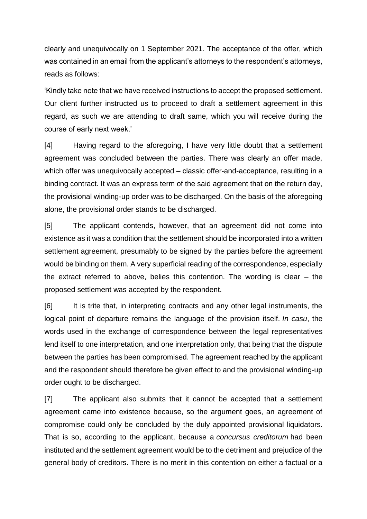clearly and unequivocally on 1 September 2021. The acceptance of the offer, which was contained in an email from the applicant's attorneys to the respondent's attorneys, reads as follows:

'Kindly take note that we have received instructions to accept the proposed settlement. Our client further instructed us to proceed to draft a settlement agreement in this regard, as such we are attending to draft same, which you will receive during the course of early next week.'

[4] Having regard to the aforegoing, I have very little doubt that a settlement agreement was concluded between the parties. There was clearly an offer made, which offer was unequivocally accepted – classic offer-and-acceptance, resulting in a binding contract. It was an express term of the said agreement that on the return day, the provisional winding-up order was to be discharged. On the basis of the aforegoing alone, the provisional order stands to be discharged.

[5] The applicant contends, however, that an agreement did not come into existence as it was a condition that the settlement should be incorporated into a written settlement agreement, presumably to be signed by the parties before the agreement would be binding on them. A very superficial reading of the correspondence, especially the extract referred to above, belies this contention. The wording is clear – the proposed settlement was accepted by the respondent.

[6] It is trite that, in interpreting contracts and any other legal instruments, the logical point of departure remains the language of the provision itself. *In casu*, the words used in the exchange of correspondence between the legal representatives lend itself to one interpretation, and one interpretation only, that being that the dispute between the parties has been compromised. The agreement reached by the applicant and the respondent should therefore be given effect to and the provisional winding-up order ought to be discharged.

[7] The applicant also submits that it cannot be accepted that a settlement agreement came into existence because, so the argument goes, an agreement of compromise could only be concluded by the duly appointed provisional liquidators. That is so, according to the applicant, because a *concursus creditorum* had been instituted and the settlement agreement would be to the detriment and prejudice of the general body of creditors. There is no merit in this contention on either a factual or a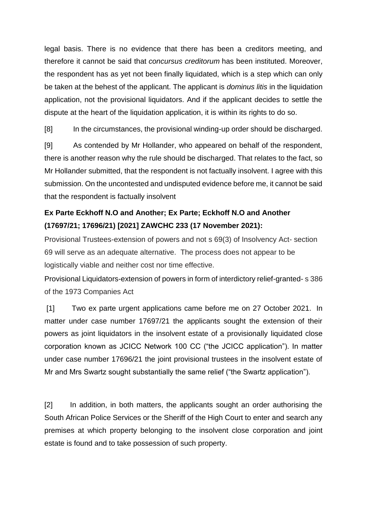legal basis. There is no evidence that there has been a creditors meeting, and therefore it cannot be said that *concursus creditorum* has been instituted. Moreover, the respondent has as yet not been finally liquidated, which is a step which can only be taken at the behest of the applicant. The applicant is *dominus litis* in the liquidation application, not the provisional liquidators. And if the applicant decides to settle the dispute at the heart of the liquidation application, it is within its rights to do so.

[8] In the circumstances, the provisional winding-up order should be discharged.

[9] As contended by Mr Hollander, who appeared on behalf of the respondent, there is another reason why the rule should be discharged. That relates to the fact, so Mr Hollander submitted, that the respondent is not factually insolvent. I agree with this submission. On the uncontested and undisputed evidence before me, it cannot be said that the respondent is factually insolvent

## **[Ex Parte Eckhoff N.O and Another; Ex Parte; Eckhoff N.O and Another](http://www.saflii.org/za/cases/ZAWCHC/2021/233.html)  [\(17697/21; 17696/21\) \[2021\] ZAWCHC 233 \(17 November 2021\):](http://www.saflii.org/za/cases/ZAWCHC/2021/233.html)**

Provisional Trustees-extension of powers and not s 69(3) of Insolvency Act- section 69 will serve as an adequate alternative. The process does not appear to be logistically viable and neither cost nor time effective.

Provisional Liquidators-extension of powers in form of interdictory relief-granted- s 386 of the 1973 Companies Act

[1] Two ex parte urgent applications came before me on 27 October 2021. In matter under case number 17697/21 the applicants sought the extension of their powers as joint liquidators in the insolvent estate of a provisionally liquidated close corporation known as JCICC Network 100 CC ("the JCICC application"). In matter under case number 17696/21 the joint provisional trustees in the insolvent estate of Mr and Mrs Swartz sought substantially the same relief ("the Swartz application").

[2] In addition, in both matters, the applicants sought an order authorising the South African Police Services or the Sheriff of the High Court to enter and search any premises at which property belonging to the insolvent close corporation and joint estate is found and to take possession of such property.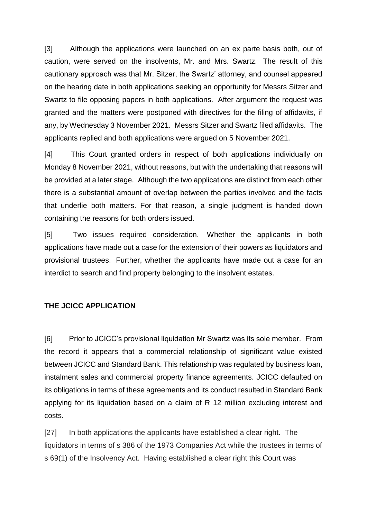[3] Although the applications were launched on an ex parte basis both, out of caution, were served on the insolvents, Mr. and Mrs. Swartz. The result of this cautionary approach was that Mr. Sitzer, the Swartz' attorney, and counsel appeared on the hearing date in both applications seeking an opportunity for Messrs Sitzer and Swartz to file opposing papers in both applications. After argument the request was granted and the matters were postponed with directives for the filing of affidavits, if any, by Wednesday 3 November 2021. Messrs Sitzer and Swartz filed affidavits. The applicants replied and both applications were argued on 5 November 2021.

[4] This Court granted orders in respect of both applications individually on Monday 8 November 2021, without reasons, but with the undertaking that reasons will be provided at a later stage. Although the two applications are distinct from each other there is a substantial amount of overlap between the parties involved and the facts that underlie both matters. For that reason, a single judgment is handed down containing the reasons for both orders issued.

[5] Two issues required consideration. Whether the applicants in both applications have made out a case for the extension of their powers as liquidators and provisional trustees. Further, whether the applicants have made out a case for an interdict to search and find property belonging to the insolvent estates.

### **THE JCICC APPLICATION**

[6] Prior to JCICC's provisional liquidation Mr Swartz was its sole member. From the record it appears that a commercial relationship of significant value existed between JCICC and Standard Bank. This relationship was regulated by business loan, instalment sales and commercial property finance agreements. JCICC defaulted on its obligations in terms of these agreements and its conduct resulted in Standard Bank applying for its liquidation based on a claim of R 12 million excluding interest and costs.

[27] In both applications the applicants have established a clear right. The liquidators in terms of s 386 of the 1973 Companies Act while the trustees in terms of s 69(1) of the Insolvency Act. Having established a clear right this Court was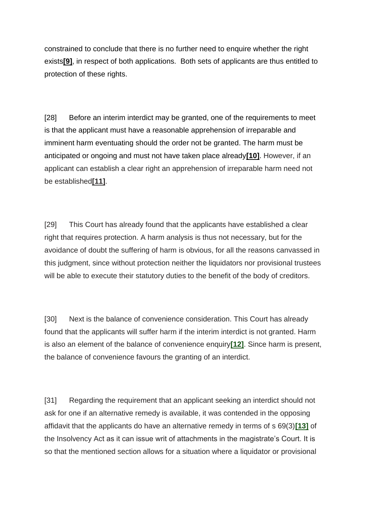constrained to conclude that there is no further need to enquire whether the right exists**[\[9\]](http://www.saflii.org/za/cases/ZAWCHC/2021/233.html#_ftn9)**, in respect of both applications. Both sets of applicants are thus entitled to protection of these rights.

[28] Before an interim interdict may be granted, one of the requirements to meet is that the applicant must have a reasonable apprehension of irreparable and imminent harm eventuating should the order not be granted. The harm must be anticipated or ongoing and must not have taken place already**[\[10\]](http://www.saflii.org/za/cases/ZAWCHC/2021/233.html#_ftn10)**. However, if an applicant can establish a clear right an apprehension of irreparable harm need not be established**[\[11\]](http://www.saflii.org/za/cases/ZAWCHC/2021/233.html#_ftn11)**.

[29] This Court has already found that the applicants have established a clear right that requires protection. A harm analysis is thus not necessary, but for the avoidance of doubt the suffering of harm is obvious, for all the reasons canvassed in this judgment, since without protection neither the liquidators nor provisional trustees will be able to execute their statutory duties to the benefit of the body of creditors.

[30] Next is the balance of convenience consideration. This Court has already found that the applicants will suffer harm if the interim interdict is not granted. Harm is also an element of the balance of convenience enquiry**[\[12\]](http://www.saflii.org/za/cases/ZAWCHC/2021/233.html#_ftn12)**. Since harm is present, the balance of convenience favours the granting of an interdict.

[31] Regarding the requirement that an applicant seeking an interdict should not ask for one if an alternative remedy is available, it was contended in the opposing affidavit that the applicants do have an alternative remedy in terms of s 69(3)**[\[13\]](http://www.saflii.org/za/cases/ZAWCHC/2021/233.html#_ftn13)** of the Insolvency Act as it can issue writ of attachments in the magistrate's Court. It is so that the mentioned section allows for a situation where a liquidator or provisional